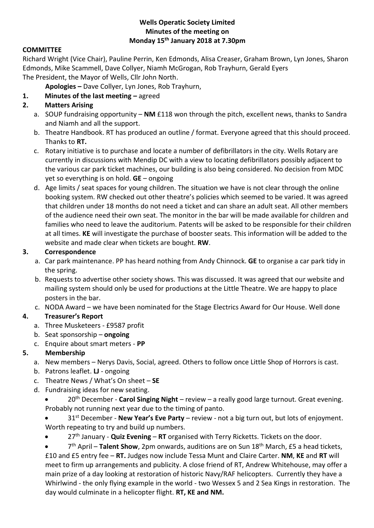#### **Wells Operatic Society Limited Minutes of the meeting on Monday 15th January 2018 at 7.30pm**

#### **COMMITTEE**

Richard Wright (Vice Chair), Pauline Perrin, Ken Edmonds, Alisa Creaser, Graham Brown, Lyn Jones, Sharon Edmonds, Mike Scammell, Dave Collyer, Niamh McGrogan, Rob Trayhurn, Gerald Eyers The President, the Mayor of Wells, Cllr John North.

**Apologies –** Dave Collyer, Lyn Jones, Rob Trayhurn,

# **1. Minutes of the last meeting –** agreed

### **2. Matters Arising**

- a. SOUP fundraising opportunity **NM** £118 won through the pitch, excellent news, thanks to Sandra and Niamh and all the support.
- b. Theatre Handbook. RT has produced an outline / format. Everyone agreed that this should proceed. Thanks to **RT.**
- c. Rotary initiative is to purchase and locate a number of defibrillators in the city. Wells Rotary are currently in discussions with Mendip DC with a view to locating defibrillators possibly adjacent to the various car park ticket machines, our building is also being considered. No decision from MDC yet so everything is on hold. **GE** – ongoing
- d. Age limits / seat spaces for young children. The situation we have is not clear through the online booking system. RW checked out other theatre's policies which seemed to be varied. It was agreed that children under 18 months do not need a ticket and can share an adult seat. All other members of the audience need their own seat. The monitor in the bar will be made available for children and families who need to leave the auditorium. Patents will be asked to be responsible for their children at all times. **KE** will investigate the purchase of booster seats. This information will be added to the website and made clear when tickets are bought. **RW**.

#### **3. Correspondence**

- a. Car park maintenance. PP has heard nothing from Andy Chinnock. **GE** to organise a car park tidy in the spring.
- b. Requests to advertise other society shows. This was discussed. It was agreed that our website and mailing system should only be used for productions at the Little Theatre. We are happy to place posters in the bar.
- c. NODA Award we have been nominated for the Stage Electrics Award for Our House. Well done

### **4. Treasurer's Report**

- a. Three Musketeers £9587 profit
- b. Seat sponsorship **ongoing**
- c. Enquire about smart meters **PP**

### **5. Membership**

- a. New members Nerys Davis, Social, agreed. Others to follow once Little Shop of Horrors is cast.
- b. Patrons leaflet. **LJ** ongoing
- c. Theatre News / What's On sheet **SE**
- d. Fundraising ideas for new seating.
	- 20th December **Carol Singing Night** review a really good large turnout. Great evening. Probably not running next year due to the timing of panto.

 31st December - **New Year's Eve Party** – review - not a big turn out, but lots of enjoyment. Worth repeating to try and build up numbers.

27th January - **Quiz Evening** – **RT** organised with Terry Ricketts. Tickets on the door.

 7 th April – **Talent Show**, 2pm onwards, auditions are on Sun 18th March, £5 a head tickets, £10 and £5 entry fee – **RT.** Judges now include Tessa Munt and Claire Carter. **NM**, **KE** and **RT** will meet to firm up arrangements and publicity. A close friend of RT, Andrew Whitehouse, may offer a main prize of a day looking at restoration of historic Navy/RAF helicopters. Currently they have a Whirlwind - the only flying example in the world - two Wessex 5 and 2 Sea Kings in restoration. The day would culminate in a helicopter flight. **RT, KE and NM.**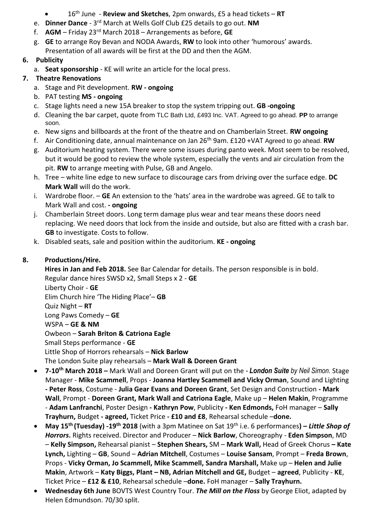- 16th June **Review and Sketches**, 2pm onwards, £5 a head tickets **RT**
- e. **Dinner Dance** 3<sup>rd</sup> March at Wells Golf Club £25 details to go out. **NM**
- f. **AGM** Friday 23rd March 2018 Arrangements as before, **GE**
- g. **GE** to arrange Roy Bevan and NODA Awards, **RW** to look into other 'humorous' awards. Presentation of all awards will be first at the DD and then the AGM.

# **6. Publicity**

a. **Seat sponsorship** - KE will write an article for the local press.

# **7. Theatre Renovations**

- a. Stage and Pit development. **RW - ongoing**
- b. PAT testing **MS - ongoing**
- c. Stage lights need a new 15A breaker to stop the system tripping out. **GB -ongoing**
- d. Cleaning the bar carpet, quote from TLC Bath Ltd, £493 Inc. VAT. Agreed to go ahead. **PP** to arrange soon.
- e. New signs and billboards at the front of the theatre and on Chamberlain Street. **RW ongoing**
- f. Air Conditioning date, annual maintenance on Jan 26th 9am. £120 +VAT Agreed to go ahead. **RW**
- g. Auditorium heating system. There were some issues during panto week. Most seem to be resolved, but it would be good to review the whole system, especially the vents and air circulation from the pit. **RW** to arrange meeting with Pulse, GB and Angelo.
- h. Tree white line edge to new surface to discourage cars from driving over the surface edge. **DC Mark Wall** will do the work.
- i. Wardrobe floor. **GE** An extension to the 'hats' area in the wardrobe was agreed. GE to talk to Mark Wall and cost. **- ongoing**
- j. Chamberlain Street doors. Long term damage plus wear and tear means these doors need replacing. We need doors that lock from the inside and outside, but also are fitted with a crash bar. **GB** to investigate. Costs to follow.
- k. Disabled seats, sale and position within the auditorium. **KE - ongoing**

## **8. Productions/Hire.**

**Hires in Jan and Feb 2018.** See Bar Calendar for details. The person responsible is in bold. Regular dance hires SWSD x2, Small Steps x 2 - **GE** Liberty Choir - **GE** Elim Church hire 'The Hiding Place'– **GB** Quiz Night – **RT** Long Paws Comedy – **GE** WSPA – **GE & NM** Owbeon – **Sarah Briton & Catriona Eagle** Small Steps performance - **GE** Little Shop of Horrors rehearsals – **Nick Barlow** The London Suite play rehearsals – **Mark Wall & Doreen Grant**

- **7-10th March 2018 –** Mark Wall and Doreen Grant will put on the *- London Suite by Neil Simon.* Stage Manager - **Mike Scammell**, Props - **Joanna Hartley Scammell and Vicky Orman**, Sound and Lighting **- Peter Ross**, Costume - **Julia Gear Evans and Doreen Grant**, Set Design and Construction **- Mark Wall**, Prompt - **Doreen Grant, Mark Wall and Catriona Eagle**, Make up – **Helen Makin**, Programme - **Adam Lanfranchi**, Poster Design **- Kathryn Pow**, Publicity **- Ken Edmonds,** FoH manager – **Sally Trayhurn,** Budget **- agreed,** Ticket Price **- £10 and £8**, Rehearsal schedule –**done.**
- **May 15th (Tuesday) -19th 2018** (with a 3pm Matinee on Sat 19th i.e. 6 performances**) –** *Little Shop of Horrors***.** Rights received. Director and Producer – **Nick Barlow**, Choreography - **Eden Simpson**, MD – **Kelly Simpson,** Rehearsal pianist – **Stephen Shears,** SM – **Mark Wall,** Head of Greek Chorus **– Kate Lynch,** Lighting – **GB**, Sound – **Adrian Mitchell**, Costumes – **Louise Sansam**, Prompt – **Freda Brown**, Props - **Vicky Orman, Jo Scammell, Mike Scammell, Sandra Marshall,** Make up – **Helen and Julie Makin**, Artwork – **Katy Biggs, Plant – NB, Adrian Mitchell and GE,** Budget – **agreed**, Publicity - **KE**, Ticket Price – **£12 & £10**, Rehearsal schedule –**done.** FoH manager – **Sally Trayhurn.**
- **Wednesday 6th June** BOVTS West Country Tour. *The Mill on the Floss* by George Eliot, adapted by Helen Edmundson. 70/30 split.